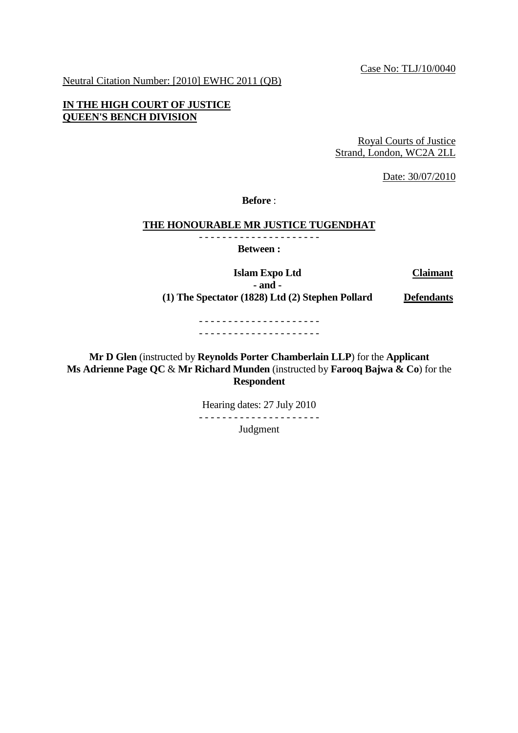Case No: TLJ/10/0040

Neutral Citation Number: [2010] EWHC 2011 (QB)

## **IN THE HIGH COURT OF JUSTICE QUEEN'S BENCH DIVISION**

Royal Courts of Justice Strand, London, WC2A 2LL

Date: 30/07/2010

**Before** :

## **THE HONOURABLE MR JUSTICE TUGENDHAT**

- - - - - - - - - - - - - - - - - - - - - **Between :** 

 **Islam Expo Ltd Claimant**

**- and - (1) The Spectator (1828) Ltd (2) Stephen Pollard Defendants**

- - - - - - - - - - - - - - - - - - - - - - - - - - - - - - - - - - - - - - - - - -

**Mr D Glen** (instructed by **Reynolds Porter Chamberlain LLP**) for the **Applicant Ms Adrienne Page QC** & **Mr Richard Munden** (instructed by **Farooq Bajwa & Co**) for the **Respondent**

> Hearing dates: 27 July 2010 - - - - - - - - - - - - - - - - - - - - - Judgment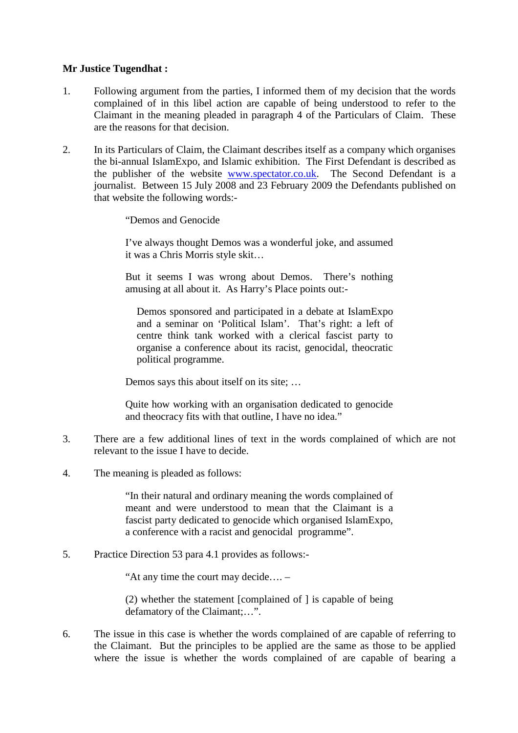## **Mr Justice Tugendhat :**

- 1. Following argument from the parties, I informed them of my decision that the words complained of in this libel action are capable of being understood to refer to the Claimant in the meaning pleaded in paragraph 4 of the Particulars of Claim. These are the reasons for that decision.
- 2. In its Particulars of Claim, the Claimant describes itself as a company which organises the bi-annual IslamExpo, and Islamic exhibition. The First Defendant is described as the publisher of the website www.spectator.co.uk. The Second Defendant is a journalist. Between 15 July 2008 and 23 February 2009 the Defendants published on that website the following words:-

"Demos and Genocide

I've always thought Demos was a wonderful joke, and assumed it was a Chris Morris style skit…

But it seems I was wrong about Demos. There's nothing amusing at all about it. As Harry's Place points out:-

Demos sponsored and participated in a debate at IslamExpo and a seminar on 'Political Islam'. That's right: a left of centre think tank worked with a clerical fascist party to organise a conference about its racist, genocidal, theocratic political programme.

Demos says this about itself on its site; …

Quite how working with an organisation dedicated to genocide and theocracy fits with that outline, I have no idea."

- 3. There are a few additional lines of text in the words complained of which are not relevant to the issue I have to decide.
- 4. The meaning is pleaded as follows:

"In their natural and ordinary meaning the words complained of meant and were understood to mean that the Claimant is a fascist party dedicated to genocide which organised IslamExpo, a conference with a racist and genocidal programme".

5. Practice Direction 53 para 4.1 provides as follows:-

"At any time the court may decide…. –

(2) whether the statement [complained of ] is capable of being defamatory of the Claimant;…".

6. The issue in this case is whether the words complained of are capable of referring to the Claimant. But the principles to be applied are the same as those to be applied where the issue is whether the words complained of are capable of bearing a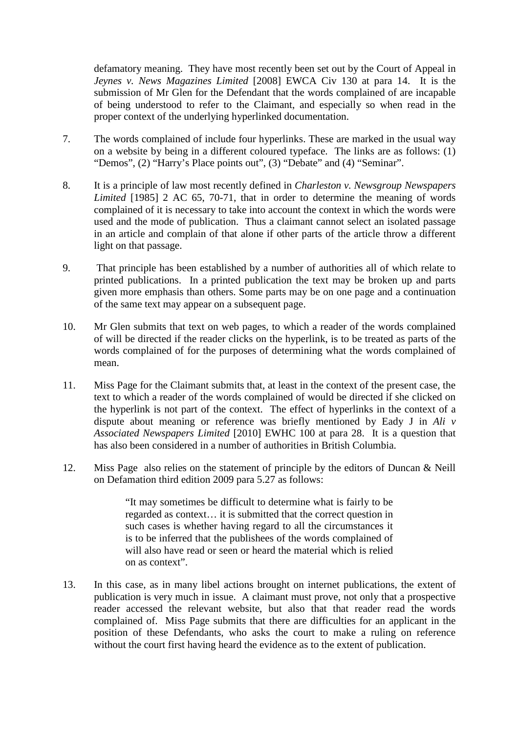defamatory meaning. They have most recently been set out by the Court of Appeal in *Jeynes v. News Magazines Limited* [2008] EWCA Civ 130 at para 14. It is the submission of Mr Glen for the Defendant that the words complained of are incapable of being understood to refer to the Claimant, and especially so when read in the proper context of the underlying hyperlinked documentation.

- 7. The words complained of include four hyperlinks. These are marked in the usual way on a website by being in a different coloured typeface. The links are as follows: (1) "Demos", (2) "Harry's Place points out", (3) "Debate" and (4) "Seminar".
- 8. It is a principle of law most recently defined in *Charleston v. Newsgroup Newspapers Limited* [1985] 2 AC 65, 70-71, that in order to determine the meaning of words complained of it is necessary to take into account the context in which the words were used and the mode of publication. Thus a claimant cannot select an isolated passage in an article and complain of that alone if other parts of the article throw a different light on that passage.
- 9. That principle has been established by a number of authorities all of which relate to printed publications. In a printed publication the text may be broken up and parts given more emphasis than others. Some parts may be on one page and a continuation of the same text may appear on a subsequent page.
- 10. Mr Glen submits that text on web pages, to which a reader of the words complained of will be directed if the reader clicks on the hyperlink, is to be treated as parts of the words complained of for the purposes of determining what the words complained of mean.
- 11. Miss Page for the Claimant submits that, at least in the context of the present case, the text to which a reader of the words complained of would be directed if she clicked on the hyperlink is not part of the context. The effect of hyperlinks in the context of a dispute about meaning or reference was briefly mentioned by Eady J in *Ali v Associated Newspapers Limited* [2010] EWHC 100 at para 28. It is a question that has also been considered in a number of authorities in British Columbia.
- 12. Miss Page also relies on the statement of principle by the editors of Duncan & Neill on Defamation third edition 2009 para 5.27 as follows:

"It may sometimes be difficult to determine what is fairly to be regarded as context… it is submitted that the correct question in such cases is whether having regard to all the circumstances it is to be inferred that the publishees of the words complained of will also have read or seen or heard the material which is relied on as context".

13. In this case, as in many libel actions brought on internet publications, the extent of publication is very much in issue. A claimant must prove, not only that a prospective reader accessed the relevant website, but also that that reader read the words complained of. Miss Page submits that there are difficulties for an applicant in the position of these Defendants, who asks the court to make a ruling on reference without the court first having heard the evidence as to the extent of publication.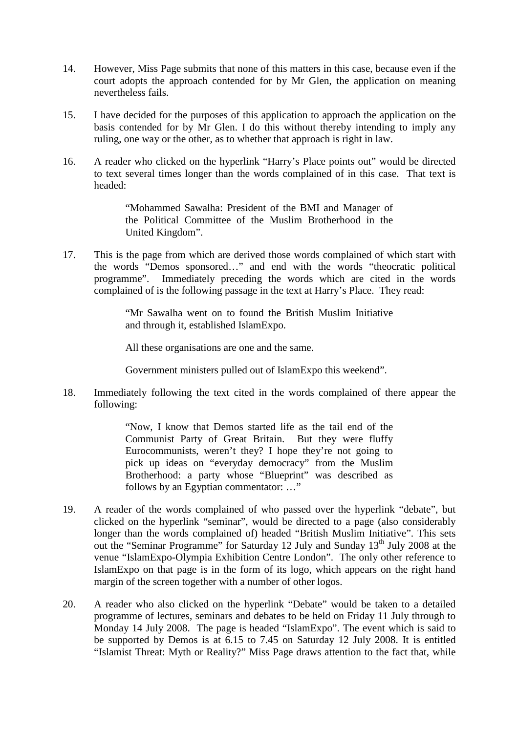- 14. However, Miss Page submits that none of this matters in this case, because even if the court adopts the approach contended for by Mr Glen, the application on meaning nevertheless fails.
- 15. I have decided for the purposes of this application to approach the application on the basis contended for by Mr Glen. I do this without thereby intending to imply any ruling, one way or the other, as to whether that approach is right in law.
- 16. A reader who clicked on the hyperlink "Harry's Place points out" would be directed to text several times longer than the words complained of in this case. That text is headed:

"Mohammed Sawalha: President of the BMI and Manager of the Political Committee of the Muslim Brotherhood in the United Kingdom".

17. This is the page from which are derived those words complained of which start with the words "Demos sponsored…" and end with the words "theocratic political programme". Immediately preceding the words which are cited in the words complained of is the following passage in the text at Harry's Place. They read:

> "Mr Sawalha went on to found the British Muslim Initiative and through it, established IslamExpo.

All these organisations are one and the same.

Government ministers pulled out of IslamExpo this weekend".

18. Immediately following the text cited in the words complained of there appear the following:

> "Now, I know that Demos started life as the tail end of the Communist Party of Great Britain. But they were fluffy Eurocommunists, weren't they? I hope they're not going to pick up ideas on "everyday democracy" from the Muslim Brotherhood: a party whose "Blueprint" was described as follows by an Egyptian commentator: …"

- 19. A reader of the words complained of who passed over the hyperlink "debate", but clicked on the hyperlink "seminar", would be directed to a page (also considerably longer than the words complained of) headed "British Muslim Initiative". This sets out the "Seminar Programme" for Saturday 12 July and Sunday 13<sup>th</sup> July 2008 at the venue "IslamExpo-Olympia Exhibition Centre London". The only other reference to IslamExpo on that page is in the form of its logo, which appears on the right hand margin of the screen together with a number of other logos.
- 20. A reader who also clicked on the hyperlink "Debate" would be taken to a detailed programme of lectures, seminars and debates to be held on Friday 11 July through to Monday 14 July 2008. The page is headed "IslamExpo". The event which is said to be supported by Demos is at 6.15 to 7.45 on Saturday 12 July 2008. It is entitled "Islamist Threat: Myth or Reality?" Miss Page draws attention to the fact that, while